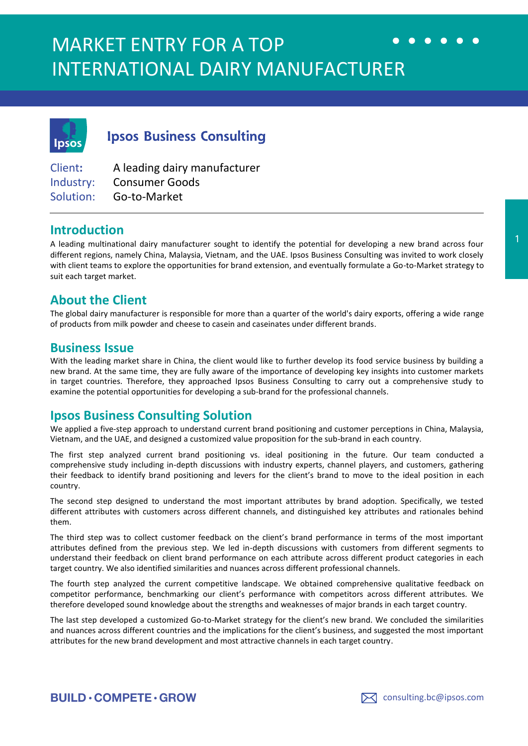# MARKET ENTRY FOR A TOP INTERNATIONAL DAIRY MANUFACTURER



**Ipsos Business Consulting** 

Client**:** A leading dairy manufacturer Industry: Consumer Goods Solution: Go-to-Market

#### **Introduction**

A leading multinational dairy manufacturer sought to identify the potential for developing a new brand across four different regions, namely China, Malaysia, Vietnam, and the UAE. Ipsos Business Consulting was invited to work closely with client teams to explore the opportunities for brand extension, and eventually formulate a Go-to-Market strategy to suit each target market.

## **About the Client**

The global dairy manufacturer is responsible for more than a quarter of the world's dairy exports, offering a wide range of products from milk powder and cheese to casein and caseinates under different brands.

#### **Business Issue**

With the leading market share in China, the client would like to further develop its food service business by building a new brand. At the same time, they are fully aware of the importance of developing key insights into customer markets in target countries. Therefore, they approached Ipsos Business Consulting to carry out a comprehensive study to examine the potential opportunities for developing a sub-brand for the professional channels.

## **Ipsos Business Consulting Solution**

We applied a five-step approach to understand current brand positioning and customer perceptions in China, Malaysia, Vietnam, and the UAE, and designed a customized value proposition for the sub-brand in each country.

The first step analyzed current brand positioning vs. ideal positioning in the future. Our team conducted a comprehensive study including in-depth discussions with industry experts, channel players, and customers, gathering their feedback to identify brand positioning and levers for the client's brand to move to the ideal position in each country.

The second step designed to understand the most important attributes by brand adoption. Specifically, we tested different attributes with customers across different channels, and distinguished key attributes and rationales behind them.

The third step was to collect customer feedback on the client's brand performance in terms of the most important attributes defined from the previous step. We led in-depth discussions with customers from different segments to understand their feedback on client brand performance on each attribute across different product categories in each target country. We also identified similarities and nuances across different professional channels.

The fourth step analyzed the current competitive landscape. We obtained comprehensive qualitative feedback on competitor performance, benchmarking our client's performance with competitors across different attributes. We therefore developed sound knowledge about the strengths and weaknesses of major brands in each target country.

The last step developed a customized Go-to-Market strategy for the client's new brand. We concluded the similarities and nuances across different countries and the implications for the client's business, and suggested the most important attributes for the new brand development and most attractive channels in each target country.